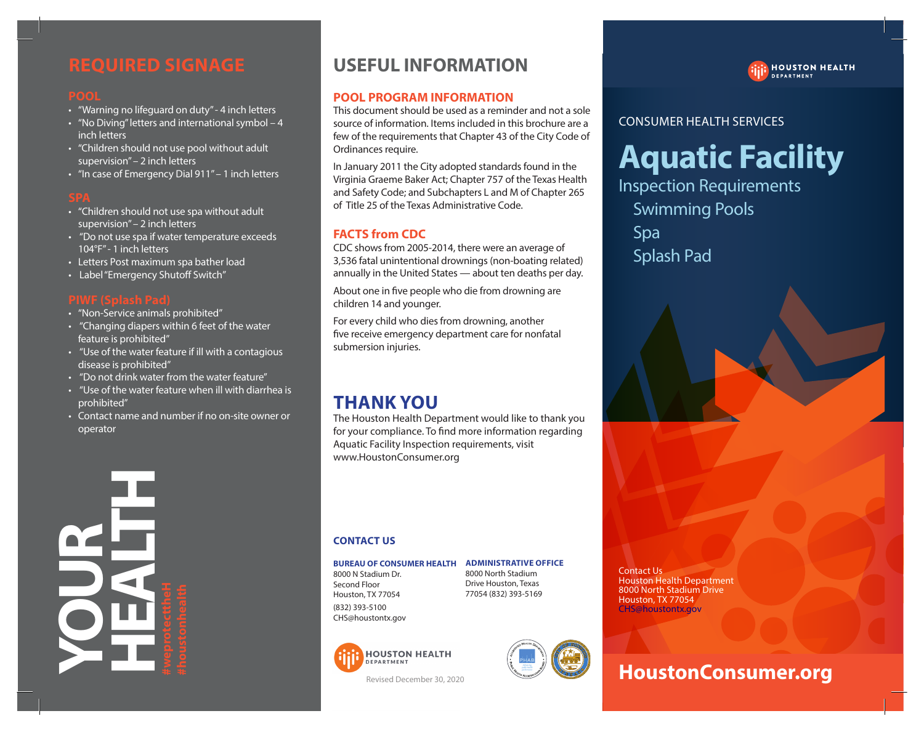# **REQUIRED SIGNAGE REQUIRED SIGNAGE**

- "Warning no lifeguard on duty" 4 inch letters "Warning no lifeguard on duty" 4 inch letters
- "No Diving" letters and international symbol 4 "No Diving" letters and international symbol 4 inch letters inch letters
- "Children should not use pool without adult "Children should not use pool without adult supervision" – 2 inch letters 2 supervision" – 2 inch letters
- "In case of Emergency Dial 911" 1 inch letters "In case of Emergency Dial 911" 1 inch letters

- "Children should not use spa without adult "Children should not use spa without adult supervision"– 2 inch letters supervision"– 2 inch letters
- "Do not use spa if water temperature exceeds 104°F"- 1 inch letters 104°F"- 1 inch letters • "In case of Emergency Dial 911" – 1 inch letters<br> **SPA**<br>• "Children should not use spa without adult<br>
supervision" – 2 inch letters<br>• "Do not use spa if water temperature exceeds<br>
104°F" - 1 inch letters • "Do not use spa if water temperature exceed:
- Letters Post maximum spa bather load
- Label "Emergency Shutoff Switch"

- "Non-Service animals prohibited" "Non-Service animals "Non-Service animals prohibited"
- "Changing diapers within 6 feet of the water feature is prohibited" feature is prohibited"
- "Use of the water feature if ill with a contagious is "Use "Use of the water feature if ill with a contagious disease is prohibited" disease is prohibited"
- disease is prohibited"<br>• "Do not drink water from the water feature"
- "Use of the water feature when ill with diarrhea is "Use "Use of the water feature when ill with diarrhea is prohibited" prohibited"
- Contact name and number if no on-site owner or operator operator



# **USEFUL INFORMATION USEFUL INFORMATION**

### **POOL PROGRAM INFORMATION POOL PROGRAM INFORMATION**

This document should be used as a reminder and not a sole source of information. Items included in this brochure are a few of the requirements that Chapter 43 of the City Code of Ordinances require. Ordinances require. on duty<sup>-</sup> -4 inch letters<br>
international symbol - 4<br>
source of information. Items included the suce of information is included<br>
text of the requirements that Chapter 45<br>
text of the requirements that Chapter 45<br>
text is t

Ordinances require.<br>In January 2011 the City adopted standards found in the Virginia Graeme Baker Act; Chapter 757 of the Texas Health and Safety Code; and Subchapters L and M of Chapter 265 of Title 25 of the Texas Administrative Code. of Title 25 of the Texas Administrative Code.

### **FACTS from CDC FACTS from CDC**

of Title 25 of the Texas Administrative Code.<br>**FACTS from CDC**<br>CDC shows from 2005-2014, there were an average of 3,536 fatal unintentional drownings (non-boating related) annually in the United States — about ten deaths per day.

About one in five people who die from drowning are children 14 and younger. children 14 and younger.

children 14 and younger.<br>For every child who dies from drowning, another five receive emergency department care for nonfatal submersion injuries. submersion injuries.

# **THANK YOU YOUTHANK YOU**

The Houston Health Department would like to thank you The Houston Health Department would like to thank you for your compliance. To find more information regarding Aquatic Facility Inspection requirements, visit Aquatic Facility Inspection requirements, visit www.HoustonConsumer.org www.HoustonConsumer.org www.HoustonConsumer.org Houston Health Department would like to thank you<br>our compliance. To find more information regarding<br>atic Facility Inspection requirements, visit for your compliance. To find more information regarding

#### **CONTACT US US CONTACT US**

#### **BUREAU OF CONSUMER HEALTH ADMINISTRATIVE OFFICE OF CONSUMER BUREAU OF CONSUMER HEALTH ADMINISTRATIVE OFFICE**

8000 N Stadium Dr. 8000 N Stadium Dr. Second Floor Second Floor Houston, TX 77054 Houston, TX 77054 (832) 393-5100 (832) 393-5100 CHS@houstontx.gov CHS@houstontx.gov 8000 North Stadium 8000 North Stadium Drive Houston, Texas Drive Houston, Texas 77054 (832) 393-5169 77054 (832) 393-5169



Revised December 30, 2020



**HOUSTON HEALTH** . . . . . . . . .<br>DEPARTMENT

### CONSUMER HEALTH SERVICES CONSUMER HEALTH SERVICES

# **Aquatic Facility Aquatic Facility**

Inspection Requirements Inspection Requirements Swimming Pools Swimming Pools Spa Spa Splash Pad Splash Pad Friedrich literation dealth this broadcave are<br>
revergitements that Chapter 43 of the City Code of<br>
respective and such a factor of the Figs adopted standards found in the<br>
revised code of Grapiter 257 of the Fiexa Health<br>



# **HoustonConsumer.org**